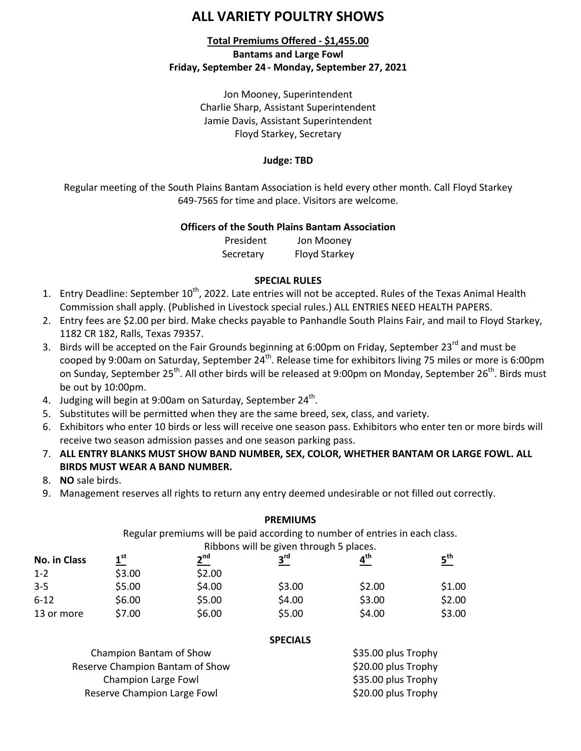# **ALL VARIETY POULTRY SHOWS**

# **Total Premiums Offered - \$1,455.00 Bantams and Large Fowl Friday, September 24 - Monday, September 27, 2021**

Jon Mooney, Superintendent Charlie Sharp, Assistant Superintendent Jamie Davis, Assistant Superintendent Floyd Starkey, Secretary

### **Judge: TBD**

Regular meeting of the South Plains Bantam Association is held every other month. Call Floyd Starkey 649-7565 for time and place. Visitors are welcome.

### **Officers of the South Plains Bantam Association**

President Jon Mooney Secretary Floyd Starkey

### **SPECIAL RULES**

- 1. Entry Deadline: September 10<sup>th</sup>, 2022. Late entries will not be accepted. Rules of the Texas Animal Health Commission shall apply. (Published in Livestock special rules.) ALL ENTRIES NEED HEALTH PAPERS.
- 2. Entry fees are \$2.00 per bird. Make checks payable to Panhandle South Plains Fair, and mail to Floyd Starkey, 1182 CR 182, Ralls, Texas 79357.
- 3. Birds will be accepted on the Fair Grounds beginning at 6:00pm on Friday, September 23<sup>rd</sup> and must be cooped by 9:00am on Saturday, September 24<sup>th</sup>. Release time for exhibitors living 75 miles or more is 6:00pm on Sunday, September 25<sup>th</sup>. All other birds will be released at 9:00pm on Monday, September 26<sup>th</sup>. Birds must be out by 10:00pm.
- 4. Judging will begin at 9:00am on Saturday, September 24<sup>th</sup>.
- 5. Substitutes will be permitted when they are the same breed, sex, class, and variety.
- 6. Exhibitors who enter 10 birds or less will receive one season pass. Exhibitors who enter ten or more birds will receive two season admission passes and one season parking pass.
- 7. **ALL ENTRY BLANKS MUST SHOW BAND NUMBER, SEX, COLOR, WHETHER BANTAM OR LARGE FOWL. ALL BIRDS MUST WEAR A BAND NUMBER.**
- 8. **NO** sale birds.
- 9. Management reserves all rights to return any entry deemed undesirable or not filled out correctly.

| No. in Class | <b>PREMIUMS</b><br>Regular premiums will be paid according to number of entries in each class.<br>Ribbons will be given through 5 places. |        |        |        |        |                 |                 |                 |  |                 |
|--------------|-------------------------------------------------------------------------------------------------------------------------------------------|--------|--------|--------|--------|-----------------|-----------------|-----------------|--|-----------------|
|              |                                                                                                                                           |        |        |        |        | 1 <sup>st</sup> | 2 <sup>nd</sup> | $3^{\text{rd}}$ |  | 5 <sup>th</sup> |
|              |                                                                                                                                           |        |        |        |        | $1 - 2$         | \$3.00          | \$2.00          |  |                 |
|              | $3 - 5$                                                                                                                                   | \$5.00 | \$4.00 | \$3.00 | \$2.00 | \$1.00          |                 |                 |  |                 |
| $6 - 12$     | \$6.00                                                                                                                                    | \$5.00 | \$4.00 | \$3.00 | \$2.00 |                 |                 |                 |  |                 |
| 13 or more   | \$7.00                                                                                                                                    | \$6.00 | \$5.00 | \$4.00 | \$3.00 |                 |                 |                 |  |                 |

### **SPECIALS**

| Champion Bantam of Show         | \$35.00 plus Trophy |
|---------------------------------|---------------------|
| Reserve Champion Bantam of Show | \$20.00 plus Trophy |
| Champion Large Fowl             | \$35.00 plus Trophy |
| Reserve Champion Large Fowl     | \$20.00 plus Trophy |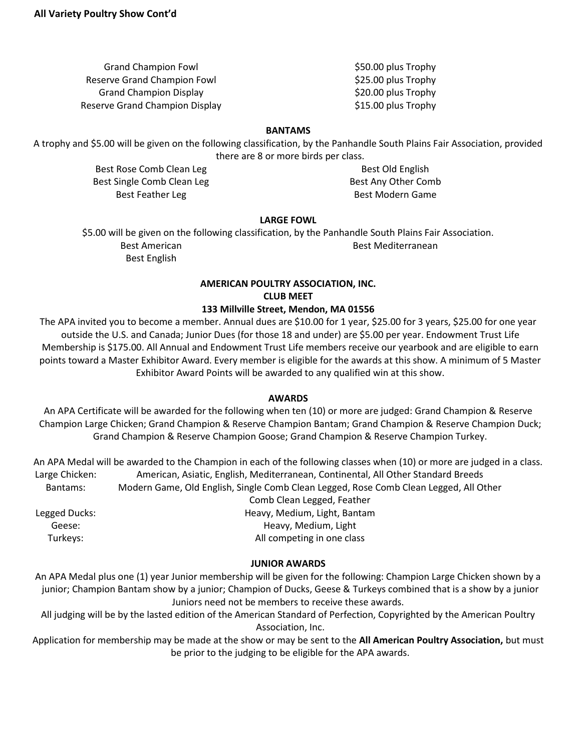Grand Champion Fowl **\$50.00 plus Trophy** Reserve Grand Champion Fowl **\$25.00 plus Trophy** Grand Champion Display **\$20.00 plus Trophy** Reserve Grand Champion Display **\$15.00 plus Trophy** 

#### **BANTAMS**

A trophy and \$5.00 will be given on the following classification, by the Panhandle South Plains Fair Association, provided there are 8 or more birds per class.

> Best Rose Comb Clean Leg Best Old English Best Single Comb Clean Leg Best Any Other Comb Best Feather Leg Best Modern Game

### **LARGE FOWL**

\$5.00 will be given on the following classification, by the Panhandle South Plains Fair Association. Best American and Best Mediterranean Best English

# **AMERICAN POULTRY ASSOCIATION, INC. CLUB MEET**

#### **133 Millville Street, Mendon, MA 01556**

The APA invited you to become a member. Annual dues are \$10.00 for 1 year, \$25.00 for 3 years, \$25.00 for one year outside the U.S. and Canada; Junior Dues (for those 18 and under) are \$5.00 per year. Endowment Trust Life Membership is \$175.00. All Annual and Endowment Trust Life members receive our yearbook and are eligible to earn points toward a Master Exhibitor Award. Every member is eligible for the awards at this show. A minimum of 5 Master Exhibitor Award Points will be awarded to any qualified win at this show.

### **AWARDS**

An APA Certificate will be awarded for the following when ten (10) or more are judged: Grand Champion & Reserve Champion Large Chicken; Grand Champion & Reserve Champion Bantam; Grand Champion & Reserve Champion Duck; Grand Champion & Reserve Champion Goose; Grand Champion & Reserve Champion Turkey.

An APA Medal will be awarded to the Champion in each of the following classes when (10) or more are judged in a class. Large Chicken: American, Asiatic, English, Mediterranean, Continental, All Other Standard Breeds Bantams: Modern Game, Old English, Single Comb Clean Legged, Rose Comb Clean Legged, All Other Comb Clean Legged, Feather Legged Ducks: Heavy, Medium, Light, Bantam Geese: Geese: Geese: Geese: Geese: Geese: Geese: Geese: Geese: Geese: Geese: Geese: Geese: Geese: Ge Turkeys: Turkeys: Turkeys: All competing in one class

### **JUNIOR AWARDS**

An APA Medal plus one (1) year Junior membership will be given for the following: Champion Large Chicken shown by a junior; Champion Bantam show by a junior; Champion of Ducks, Geese & Turkeys combined that is a show by a junior Juniors need not be members to receive these awards.

All judging will be by the lasted edition of the American Standard of Perfection, Copyrighted by the American Poultry Association, Inc.

Application for membership may be made at the show or may be sent to the **All American Poultry Association,** but must be prior to the judging to be eligible for the APA awards.